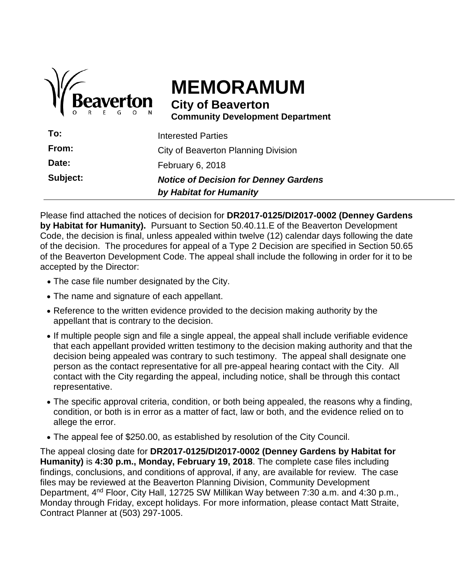

# **MEMORAMUM**

**City of Beaverton Community Development Department**

|          | by Habitat for Humanity                      |
|----------|----------------------------------------------|
| Subject: | <b>Notice of Decision for Denney Gardens</b> |
| Date:    | February 6, 2018                             |
| From:    | City of Beaverton Planning Division          |
| To:      | Interested Parties                           |

Please find attached the notices of decision for **DR2017-0125/DI2017-0002 (Denney Gardens by Habitat for Humanity).** Pursuant to Section 50.40.11.E of the Beaverton Development Code, the decision is final, unless appealed within twelve (12) calendar days following the date of the decision. The procedures for appeal of a Type 2 Decision are specified in Section 50.65 of the Beaverton Development Code. The appeal shall include the following in order for it to be accepted by the Director:

- The case file number designated by the City.
- The name and signature of each appellant.
- Reference to the written evidence provided to the decision making authority by the appellant that is contrary to the decision.
- If multiple people sign and file a single appeal, the appeal shall include verifiable evidence that each appellant provided written testimony to the decision making authority and that the decision being appealed was contrary to such testimony. The appeal shall designate one person as the contact representative for all pre-appeal hearing contact with the City. All contact with the City regarding the appeal, including notice, shall be through this contact representative.
- The specific approval criteria, condition, or both being appealed, the reasons why a finding, condition, or both is in error as a matter of fact, law or both, and the evidence relied on to allege the error.
- The appeal fee of \$250.00, as established by resolution of the City Council.

The appeal closing date for **DR2017-0125/DI2017-0002 (Denney Gardens by Habitat for Humanity)** is **4:30 p.m., Monday, February 19, 2018**. The complete case files including findings, conclusions, and conditions of approval, if any, are available for review. The case files may be reviewed at the Beaverton Planning Division, Community Development Department, 4nd Floor, City Hall, 12725 SW Millikan Way between 7:30 a.m. and 4:30 p.m., Monday through Friday, except holidays. For more information, please contact Matt Straite, Contract Planner at (503) 297-1005.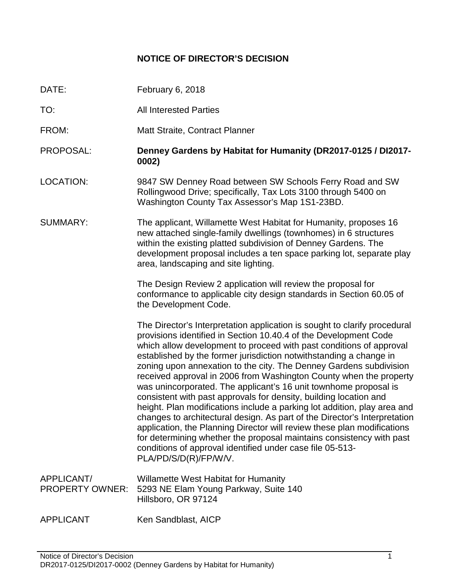# **NOTICE OF DIRECTOR'S DECISION**

- DATE: February 6, 2018
- TO: All Interested Parties
- FROM: Matt Straite, Contract Planner
- PROPOSAL: **Denney Gardens by Habitat for Humanity (DR2017-0125 / DI2017- 0002)**
- LOCATION: 9847 SW Denney Road between SW Schools Ferry Road and SW Rollingwood Drive; specifically, Tax Lots 3100 through 5400 on Washington County Tax Assessor's Map 1S1-23BD.
- SUMMARY: The applicant, Willamette West Habitat for Humanity, proposes 16 new attached single-family dwellings (townhomes) in 6 structures within the existing platted subdivision of Denney Gardens. The development proposal includes a ten space parking lot, separate play area, landscaping and site lighting.

The Design Review 2 application will review the proposal for conformance to applicable city design standards in Section 60.05 of the Development Code.

The Director's Interpretation application is sought to clarify procedural provisions identified in Section 10.40.4 of the Development Code which allow development to proceed with past conditions of approval established by the former jurisdiction notwithstanding a change in zoning upon annexation to the city. The Denney Gardens subdivision received approval in 2006 from Washington County when the property was unincorporated. The applicant's 16 unit townhome proposal is consistent with past approvals for density, building location and height. Plan modifications include a parking lot addition, play area and changes to architectural design. As part of the Director's Interpretation application, the Planning Director will review these plan modifications for determining whether the proposal maintains consistency with past conditions of approval identified under case file 05-513- PLA/PD/S/D(R)/FP/W/V.

- APPLICANT/ Willamette West Habitat for Humanity PROPERTY OWNER: 5293 NE Elam Young Parkway, Suite 140 Hillsboro, OR 97124
- APPLICANT Ken Sandblast, AICP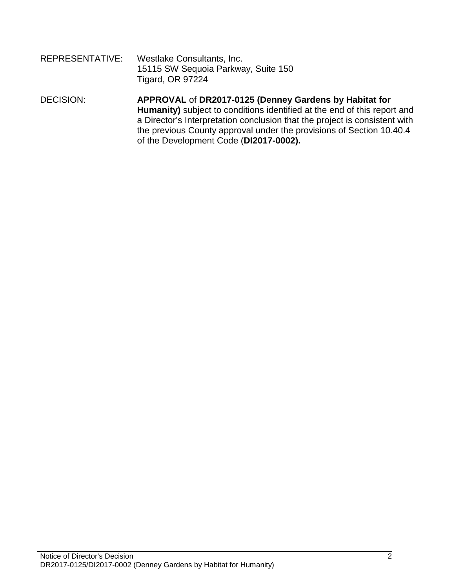| REPRESENTATIVE: | Westlake Consultants, Inc.          |
|-----------------|-------------------------------------|
|                 | 15115 SW Sequoia Parkway, Suite 150 |
|                 | <b>Tigard, OR 97224</b>             |

#### DECISION: **APPROVAL** of **DR2017-0125 (Denney Gardens by Habitat for Humanity)** subject to conditions identified at the end of this report and a Director's Interpretation conclusion that the project is consistent with the previous County approval under the provisions of Section 10.40.4 of the Development Code (**DI2017-0002).**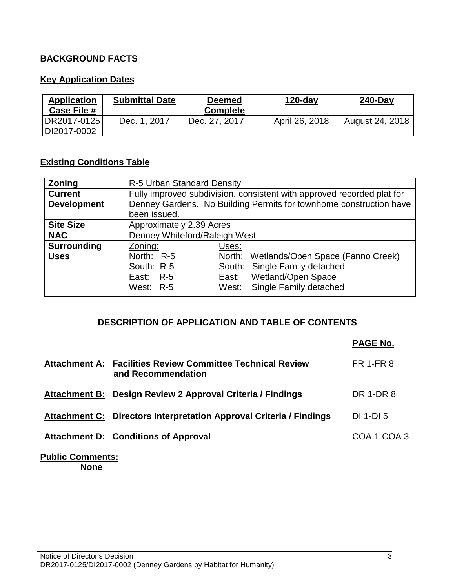# **BACKGROUND FACTS**

# **Key Application Dates**

| <b>Application</b><br>Case File # | <b>Submittal Date</b> | <b>Deemed</b><br><b>Complete</b> | $120$ -day     | <b>240-Day</b>  |
|-----------------------------------|-----------------------|----------------------------------|----------------|-----------------|
| DR2017-0125<br>DI2017-0002        | Dec. 1, 2017          | 'Dec. 27, 2017                   | April 26, 2018 | August 24, 2018 |

# **Existing Conditions Table**

| <b>Zoning</b>      | R-5 Urban Standard Density    |                                                                        |
|--------------------|-------------------------------|------------------------------------------------------------------------|
| <b>Current</b>     |                               | Fully improved subdivision, consistent with approved recorded plat for |
| <b>Development</b> |                               | Denney Gardens. No Building Permits for townhome construction have     |
|                    | been issued.                  |                                                                        |
| <b>Site Size</b>   | Approximately 2.39 Acres      |                                                                        |
| <b>NAC</b>         | Denney Whiteford/Raleigh West |                                                                        |
| <b>Surrounding</b> | Zoning:                       | Uses:                                                                  |
| <b>Uses</b>        | North: R-5                    | North: Wetlands/Open Space (Fanno Creek)                               |
|                    | South: R-5                    | South: Single Family detached                                          |
|                    | East: R-5                     | <b>Wetland/Open Space</b><br>East:                                     |
|                    | West: R-5                     | West: Single Family detached                                           |

#### **DESCRIPTION OF APPLICATION AND TABLE OF CONTENTS**

|                      |                                                                           | <b>PAGE No.</b>  |
|----------------------|---------------------------------------------------------------------------|------------------|
| <b>Attachment A:</b> | <b>Facilities Review Committee Technical Review</b><br>and Recommendation | <b>FR 1-FR 8</b> |
|                      | Attachment B: Design Review 2 Approval Criteria / Findings                | DR 1-DR 8        |
|                      | Attachment C: Directors Interpretation Approval Criteria / Findings       | DI 1-DI 5        |
|                      | <b>Attachment D: Conditions of Approval</b>                               | COA 1-COA 3      |

#### **Public Comments: None**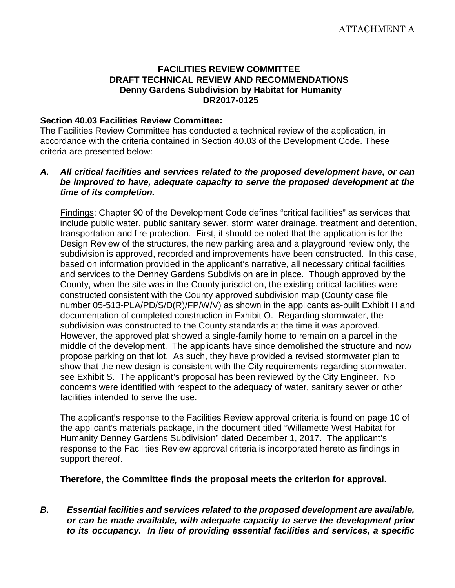#### **FACILITIES REVIEW COMMITTEE DRAFT TECHNICAL REVIEW AND RECOMMENDATIONS Denny Gardens Subdivision by Habitat for Humanity DR2017-0125**

#### **Section 40.03 Facilities Review Committee:**

The Facilities Review Committee has conducted a technical review of the application, in accordance with the criteria contained in Section 40.03 of the Development Code. These criteria are presented below:

#### *A. All critical facilities and services related to the proposed development have, or can be improved to have, adequate capacity to serve the proposed development at the time of its completion.*

Findings: Chapter 90 of the Development Code defines "critical facilities" as services that include public water, public sanitary sewer, storm water drainage, treatment and detention, transportation and fire protection. First, it should be noted that the application is for the Design Review of the structures, the new parking area and a playground review only, the subdivision is approved, recorded and improvements have been constructed. In this case, based on information provided in the applicant's narrative, all necessary critical facilities and services to the Denney Gardens Subdivision are in place. Though approved by the County, when the site was in the County jurisdiction, the existing critical facilities were constructed consistent with the County approved subdivision map (County case file number 05-513-PLA/PD/S/D(R)/FP/W/V) as shown in the applicants as-built Exhibit H and documentation of completed construction in Exhibit O. Regarding stormwater, the subdivision was constructed to the County standards at the time it was approved. However, the approved plat showed a single-family home to remain on a parcel in the middle of the development. The applicants have since demolished the structure and now propose parking on that lot. As such, they have provided a revised stormwater plan to show that the new design is consistent with the City requirements regarding stormwater, see Exhibit S. The applicant's proposal has been reviewed by the City Engineer. No concerns were identified with respect to the adequacy of water, sanitary sewer or other facilities intended to serve the use.

The applicant's response to the Facilities Review approval criteria is found on page 10 of the applicant's materials package, in the document titled "Willamette West Habitat for Humanity Denney Gardens Subdivision" dated December 1, 2017. The applicant's response to the Facilities Review approval criteria is incorporated hereto as findings in support thereof.

**Therefore, the Committee finds the proposal meets the criterion for approval.**

*B. Essential facilities and services related to the proposed development are available, or can be made available, with adequate capacity to serve the development prior to its occupancy. In lieu of providing essential facilities and services, a specific*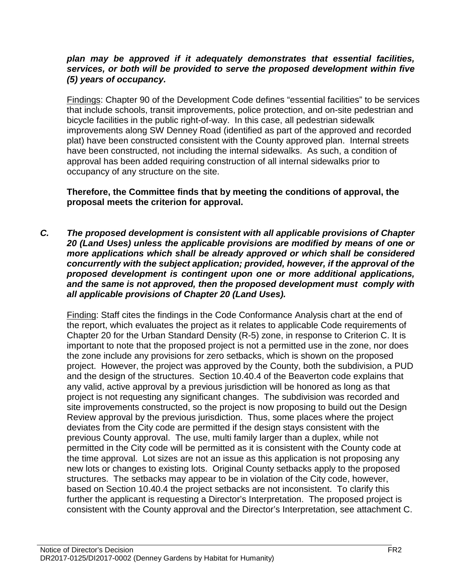#### *plan may be approved if it adequately demonstrates that essential facilities, services, or both will be provided to serve the proposed development within five (5) years of occupancy.*

Findings: Chapter 90 of the Development Code defines "essential facilities" to be services that include schools, transit improvements, police protection, and on-site pedestrian and bicycle facilities in the public right-of-way. In this case, all pedestrian sidewalk improvements along SW Denney Road (identified as part of the approved and recorded plat) have been constructed consistent with the County approved plan. Internal streets have been constructed, not including the internal sidewalks. As such, a condition of approval has been added requiring construction of all internal sidewalks prior to occupancy of any structure on the site.

**Therefore, the Committee finds that by meeting the conditions of approval, the proposal meets the criterion for approval.**

*C. The proposed development is consistent with all applicable provisions of Chapter 20 (Land Uses) unless the applicable provisions are modified by means of one or more applications which shall be already approved or which shall be considered concurrently with the subject application; provided, however, if the approval of the proposed development is contingent upon one or more additional applications, and the same is not approved, then the proposed development must comply with all applicable provisions of Chapter 20 (Land Uses).*

Finding: Staff cites the findings in the Code Conformance Analysis chart at the end of the report, which evaluates the project as it relates to applicable Code requirements of Chapter 20 for the Urban Standard Density (R-5) zone, in response to Criterion C. It is important to note that the proposed project is not a permitted use in the zone, nor does the zone include any provisions for zero setbacks, which is shown on the proposed project. However, the project was approved by the County, both the subdivision, a PUD and the design of the structures. Section 10.40.4 of the Beaverton code explains that any valid, active approval by a previous jurisdiction will be honored as long as that project is not requesting any significant changes. The subdivision was recorded and site improvements constructed, so the project is now proposing to build out the Design Review approval by the previous jurisdiction. Thus, some places where the project deviates from the City code are permitted if the design stays consistent with the previous County approval. The use, multi family larger than a duplex, while not permitted in the City code will be permitted as it is consistent with the County code at the time approval. Lot sizes are not an issue as this application is not proposing any new lots or changes to existing lots. Original County setbacks apply to the proposed structures. The setbacks may appear to be in violation of the City code, however, based on Section 10.40.4 the project setbacks are not inconsistent. To clarify this further the applicant is requesting a Director's Interpretation. The proposed project is consistent with the County approval and the Director's Interpretation, see attachment C.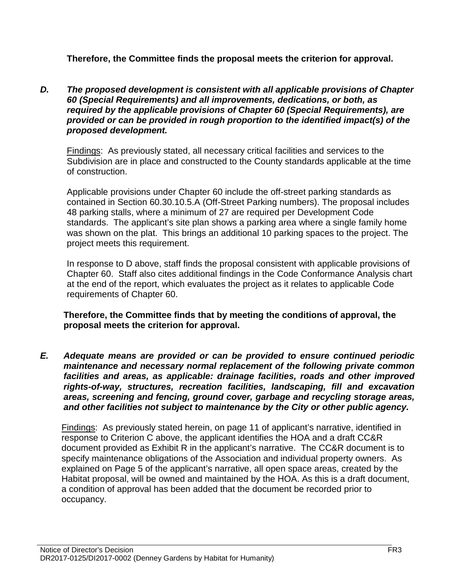**Therefore, the Committee finds the proposal meets the criterion for approval.**

*D. The proposed development is consistent with all applicable provisions of Chapter 60 (Special Requirements) and all improvements, dedications, or both, as required by the applicable provisions of Chapter 60 (Special Requirements), are provided or can be provided in rough proportion to the identified impact(s) of the proposed development.*

Findings: As previously stated, all necessary critical facilities and services to the Subdivision are in place and constructed to the County standards applicable at the time of construction.

Applicable provisions under Chapter 60 include the off-street parking standards as contained in Section 60.30.10.5.A (Off-Street Parking numbers). The proposal includes 48 parking stalls, where a minimum of 27 are required per Development Code standards. The applicant's site plan shows a parking area where a single family home was shown on the plat. This brings an additional 10 parking spaces to the project. The project meets this requirement.

In response to D above, staff finds the proposal consistent with applicable provisions of Chapter 60. Staff also cites additional findings in the Code Conformance Analysis chart at the end of the report, which evaluates the project as it relates to applicable Code requirements of Chapter 60.

**Therefore, the Committee finds that by meeting the conditions of approval, the proposal meets the criterion for approval.**

*E. Adequate means are provided or can be provided to ensure continued periodic maintenance and necessary normal replacement of the following private common facilities and areas, as applicable: drainage facilities, roads and other improved rights-of-way, structures, recreation facilities, landscaping, fill and excavation areas, screening and fencing, ground cover, garbage and recycling storage areas, and other facilities not subject to maintenance by the City or other public agency.*

Findings: As previously stated herein, on page 11 of applicant's narrative, identified in response to Criterion C above, the applicant identifies the HOA and a draft CC&R document provided as Exhibit R in the applicant's narrative. The CC&R document is to specify maintenance obligations of the Association and individual property owners. As explained on Page 5 of the applicant's narrative, all open space areas, created by the Habitat proposal, will be owned and maintained by the HOA. As this is a draft document, a condition of approval has been added that the document be recorded prior to occupancy.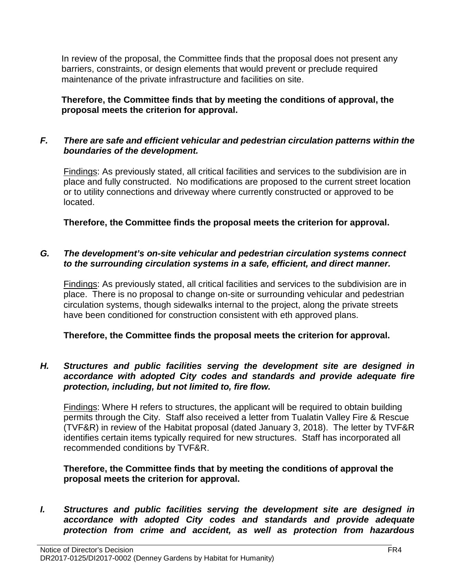In review of the proposal, the Committee finds that the proposal does not present any barriers, constraints, or design elements that would prevent or preclude required maintenance of the private infrastructure and facilities on site.

**Therefore, the Committee finds that by meeting the conditions of approval, the proposal meets the criterion for approval.**

# *F. There are safe and efficient vehicular and pedestrian circulation patterns within the boundaries of the development.*

Findings: As previously stated, all critical facilities and services to the subdivision are in place and fully constructed. No modifications are proposed to the current street location or to utility connections and driveway where currently constructed or approved to be located.

**Therefore, the Committee finds the proposal meets the criterion for approval.**

#### *G. The development's on-site vehicular and pedestrian circulation systems connect to the surrounding circulation systems in a safe, efficient, and direct manner.*

Findings: As previously stated, all critical facilities and services to the subdivision are in place. There is no proposal to change on-site or surrounding vehicular and pedestrian circulation systems, though sidewalks internal to the project, along the private streets have been conditioned for construction consistent with eth approved plans.

# **Therefore, the Committee finds the proposal meets the criterion for approval.**

#### *H. Structures and public facilities serving the development site are designed in accordance with adopted City codes and standards and provide adequate fire protection, including, but not limited to, fire flow.*

Findings: Where H refers to structures, the applicant will be required to obtain building permits through the City. Staff also received a letter from Tualatin Valley Fire & Rescue (TVF&R) in review of the Habitat proposal (dated January 3, 2018). The letter by TVF&R identifies certain items typically required for new structures. Staff has incorporated all recommended conditions by TVF&R.

#### **Therefore, the Committee finds that by meeting the conditions of approval the proposal meets the criterion for approval.**

*I. Structures and public facilities serving the development site are designed in accordance with adopted City codes and standards and provide adequate protection from crime and accident, as well as protection from hazardous*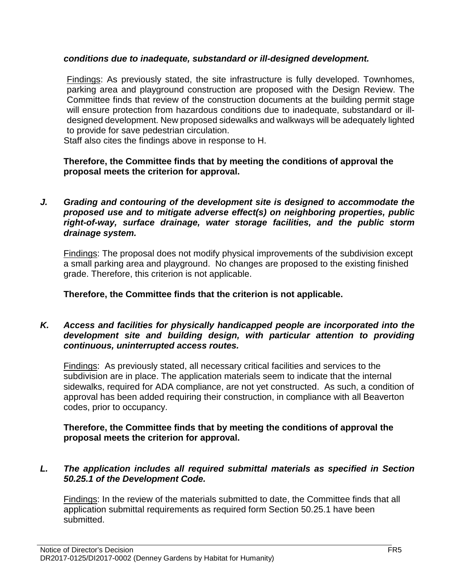#### *conditions due to inadequate, substandard or ill-designed development.*

Findings: As previously stated, the site infrastructure is fully developed. Townhomes, parking area and playground construction are proposed with the Design Review. The Committee finds that review of the construction documents at the building permit stage will ensure protection from hazardous conditions due to inadequate, substandard or illdesigned development. New proposed sidewalks and walkways will be adequately lighted to provide for save pedestrian circulation.

Staff also cites the findings above in response to H.

#### **Therefore, the Committee finds that by meeting the conditions of approval the proposal meets the criterion for approval.**

*J. Grading and contouring of the development site is designed to accommodate the proposed use and to mitigate adverse effect(s) on neighboring properties, public right-of-way, surface drainage, water storage facilities, and the public storm drainage system.*

Findings: The proposal does not modify physical improvements of the subdivision except a small parking area and playground. No changes are proposed to the existing finished grade. Therefore, this criterion is not applicable.

**Therefore, the Committee finds that the criterion is not applicable.**

#### *K. Access and facilities for physically handicapped people are incorporated into the development site and building design, with particular attention to providing continuous, uninterrupted access routes.*

Findings: As previously stated, all necessary critical facilities and services to the subdivision are in place. The application materials seem to indicate that the internal sidewalks, required for ADA compliance, are not yet constructed. As such, a condition of approval has been added requiring their construction, in compliance with all Beaverton codes, prior to occupancy.

#### **Therefore, the Committee finds that by meeting the conditions of approval the proposal meets the criterion for approval.**

#### *L. The application includes all required submittal materials as specified in Section 50.25.1 of the Development Code.*

Findings: In the review of the materials submitted to date, the Committee finds that all application submittal requirements as required form Section 50.25.1 have been submitted.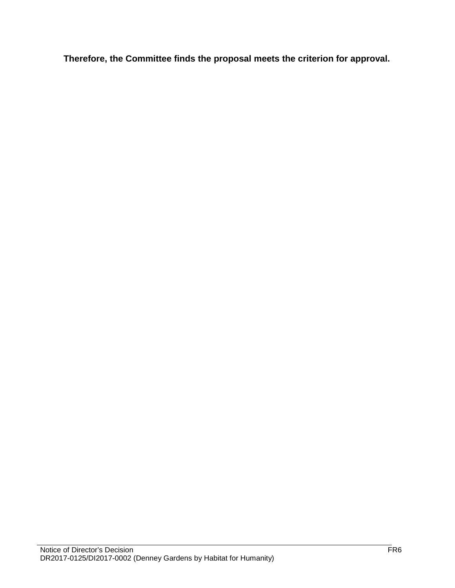**Therefore, the Committee finds the proposal meets the criterion for approval.**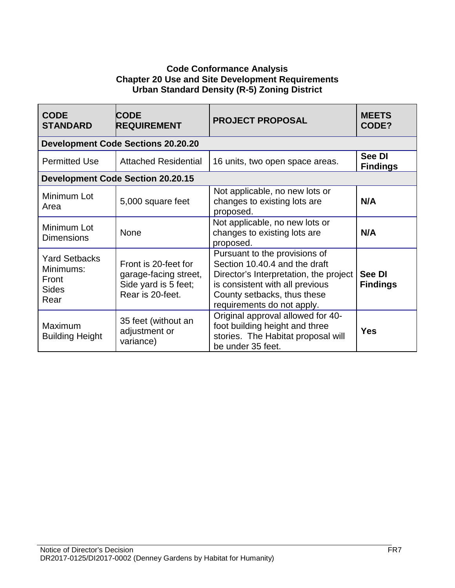# **Code Conformance Analysis Chapter 20 Use and Site Development Requirements Urban Standard Density (R-5) Zoning District**

| <b>CODE</b><br><b>STANDARD</b>                                     | <b>CODE</b><br><b>REQUIREMENT</b>                                                         | <b>PROJECT PROPOSAL</b>                                                                                                                                                                                  | <b>MEETS</b><br>CODE?     |
|--------------------------------------------------------------------|-------------------------------------------------------------------------------------------|----------------------------------------------------------------------------------------------------------------------------------------------------------------------------------------------------------|---------------------------|
|                                                                    | <b>Development Code Sections 20.20.20</b>                                                 |                                                                                                                                                                                                          |                           |
| <b>Permitted Use</b>                                               | <b>Attached Residential</b>                                                               | 16 units, two open space areas.                                                                                                                                                                          | See DI<br><b>Findings</b> |
|                                                                    | <b>Development Code Section 20.20.15</b>                                                  |                                                                                                                                                                                                          |                           |
| Minimum Lot<br>Area                                                | 5,000 square feet                                                                         | Not applicable, no new lots or<br>changes to existing lots are<br>proposed.                                                                                                                              | N/A                       |
| Minimum Lot<br><b>Dimensions</b>                                   | <b>None</b>                                                                               | Not applicable, no new lots or<br>changes to existing lots are<br>proposed.                                                                                                                              | N/A                       |
| <b>Yard Setbacks</b><br>Minimums:<br>Front<br><b>Sides</b><br>Rear | Front is 20-feet for<br>garage-facing street,<br>Side yard is 5 feet;<br>Rear is 20-feet. | Pursuant to the provisions of<br>Section 10.40.4 and the draft<br>Director's Interpretation, the project<br>is consistent with all previous<br>County setbacks, thus these<br>requirements do not apply. | See DI<br><b>Findings</b> |
| Maximum<br><b>Building Height</b>                                  | 35 feet (without an<br>adjustment or<br>variance)                                         | Original approval allowed for 40-<br>foot building height and three<br>stories. The Habitat proposal will<br>be under 35 feet.                                                                           | Yes                       |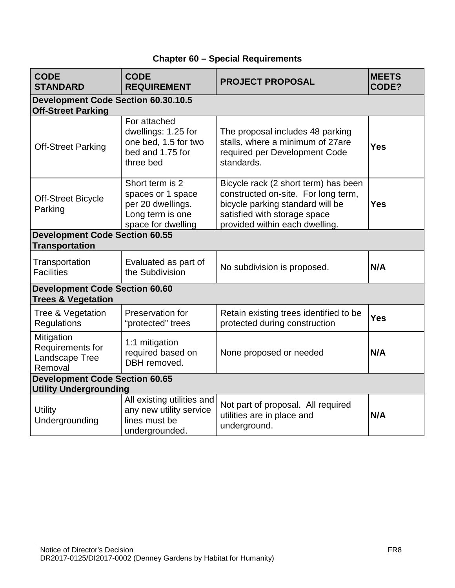| <b>CODE</b><br><b>STANDARD</b>                                          | <b>CODE</b><br><b>REQUIREMENT</b>                                                                   | <b>PROJECT PROPOSAL</b>                                                                                                                                                           | <b>MEETS</b><br>CODE? |
|-------------------------------------------------------------------------|-----------------------------------------------------------------------------------------------------|-----------------------------------------------------------------------------------------------------------------------------------------------------------------------------------|-----------------------|
| <b>Development Code Section 60.30.10.5</b><br><b>Off-Street Parking</b> |                                                                                                     |                                                                                                                                                                                   |                       |
| <b>Off-Street Parking</b>                                               | For attached<br>dwellings: 1.25 for<br>one bed, 1.5 for two<br>bed and 1.75 for<br>three bed        | The proposal includes 48 parking<br>stalls, where a minimum of 27are<br>required per Development Code<br>standards.                                                               | <b>Yes</b>            |
| <b>Off-Street Bicycle</b><br>Parking                                    | Short term is 2<br>spaces or 1 space<br>per 20 dwellings.<br>Long term is one<br>space for dwelling | Bicycle rack (2 short term) has been<br>constructed on-site. For long term,<br>bicycle parking standard will be<br>satisfied with storage space<br>provided within each dwelling. | <b>Yes</b>            |
| <b>Development Code Section 60.55</b><br><b>Transportation</b>          |                                                                                                     |                                                                                                                                                                                   |                       |
| Transportation<br><b>Facilities</b>                                     | Evaluated as part of<br>the Subdivision                                                             | No subdivision is proposed.                                                                                                                                                       | N/A                   |
| <b>Development Code Section 60.60</b><br><b>Trees &amp; Vegetation</b>  |                                                                                                     |                                                                                                                                                                                   |                       |
| Tree & Vegetation<br>Regulations                                        | Preservation for<br>"protected" trees                                                               | Retain existing trees identified to be<br>protected during construction                                                                                                           | <b>Yes</b>            |
| Mitigation<br>Requirements for<br>Landscape Tree<br>Removal             | 1:1 mitigation<br>required based on<br>DBH removed.                                                 | None proposed or needed                                                                                                                                                           | N/A                   |
| <b>Development Code Section 60.65</b><br><b>Utility Undergrounding</b>  |                                                                                                     |                                                                                                                                                                                   |                       |
| <b>Utility</b><br>Undergrounding                                        | All existing utilities and<br>any new utility service<br>lines must be<br>undergrounded.            | Not part of proposal. All required<br>utilities are in place and<br>underground.                                                                                                  | N/A                   |

# **Chapter 60 – Special Requirements**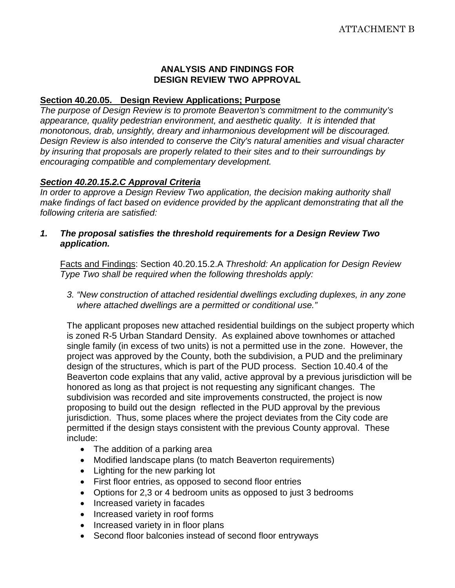#### **ANALYSIS AND FINDINGS FOR DESIGN REVIEW TWO APPROVAL**

#### **Section 40.20.05. Design Review Applications; Purpose**

*The purpose of Design Review is to promote Beaverton's commitment to the community's appearance, quality pedestrian environment, and aesthetic quality. It is intended that monotonous, drab, unsightly, dreary and inharmonious development will be discouraged. Design Review is also intended to conserve the City's natural amenities and visual character by insuring that proposals are properly related to their sites and to their surroundings by encouraging compatible and complementary development.*

#### *Section 40.20.15.2.C Approval Criteria*

*In order to approve a Design Review Two application, the decision making authority shall make findings of fact based on evidence provided by the applicant demonstrating that all the following criteria are satisfied:*

*1. The proposal satisfies the threshold requirements for a Design Review Two application.*

Facts and Findings: Section 40.20.15.2.A *Threshold: An application for Design Review Type Two shall be required when the following thresholds apply:*

*3. "New construction of attached residential dwellings excluding duplexes, in any zone where attached dwellings are a permitted or conditional use."*

The applicant proposes new attached residential buildings on the subject property which is zoned R-5 Urban Standard Density. As explained above townhomes or attached single family (in excess of two units) is not a permitted use in the zone. However, the project was approved by the County, both the subdivision, a PUD and the preliminary design of the structures, which is part of the PUD process. Section 10.40.4 of the Beaverton code explains that any valid, active approval by a previous jurisdiction will be honored as long as that project is not requesting any significant changes. The subdivision was recorded and site improvements constructed, the project is now proposing to build out the design reflected in the PUD approval by the previous jurisdiction. Thus, some places where the project deviates from the City code are permitted if the design stays consistent with the previous County approval. These include:

- The addition of a parking area
- Modified landscape plans (to match Beaverton requirements)
- Lighting for the new parking lot
- First floor entries, as opposed to second floor entries
- Options for 2,3 or 4 bedroom units as opposed to just 3 bedrooms
- Increased variety in facades
- Increased variety in roof forms
- Increased variety in in floor plans
- Second floor balconies instead of second floor entryways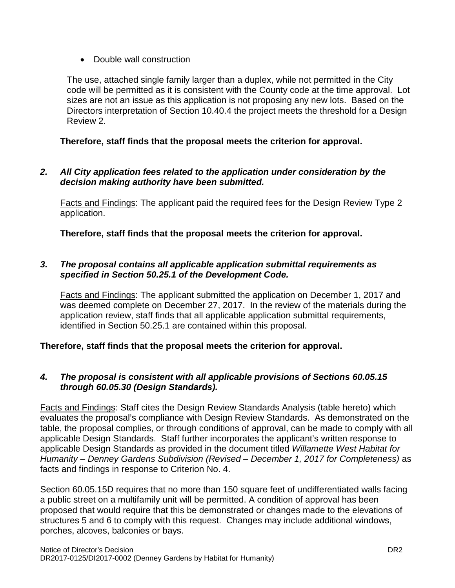• Double wall construction

The use, attached single family larger than a duplex, while not permitted in the City code will be permitted as it is consistent with the County code at the time approval. Lot sizes are not an issue as this application is not proposing any new lots. Based on the Directors interpretation of Section 10.40.4 the project meets the threshold for a Design Review 2.

# **Therefore, staff finds that the proposal meets the criterion for approval.**

*2. All City application fees related to the application under consideration by the decision making authority have been submitted.*

Facts and Findings: The applicant paid the required fees for the Design Review Type 2 application.

**Therefore, staff finds that the proposal meets the criterion for approval.**

# *3. The proposal contains all applicable application submittal requirements as specified in Section 50.25.1 of the Development Code.*

Facts and Findings: The applicant submitted the application on December 1, 2017 and was deemed complete on December 27, 2017. In the review of the materials during the application review, staff finds that all applicable application submittal requirements, identified in Section 50.25.1 are contained within this proposal.

**Therefore, staff finds that the proposal meets the criterion for approval.**

# *4. The proposal is consistent with all applicable provisions of Sections 60.05.15 through 60.05.30 (Design Standards).*

Facts and Findings: Staff cites the Design Review Standards Analysis (table hereto) which evaluates the proposal's compliance with Design Review Standards. As demonstrated on the table, the proposal complies, or through conditions of approval, can be made to comply with all applicable Design Standards. Staff further incorporates the applicant's written response to applicable Design Standards as provided in the document titled *Willamette West Habitat for Humanity – Denney Gardens Subdivision (Revised – December 1, 2017 for Completeness)* as facts and findings in response to Criterion No. 4.

Section 60.05.15D requires that no more than 150 square feet of undifferentiated walls facing a public street on a multifamily unit will be permitted. A condition of approval has been proposed that would require that this be demonstrated or changes made to the elevations of structures 5 and 6 to comply with this request. Changes may include additional windows, porches, alcoves, balconies or bays.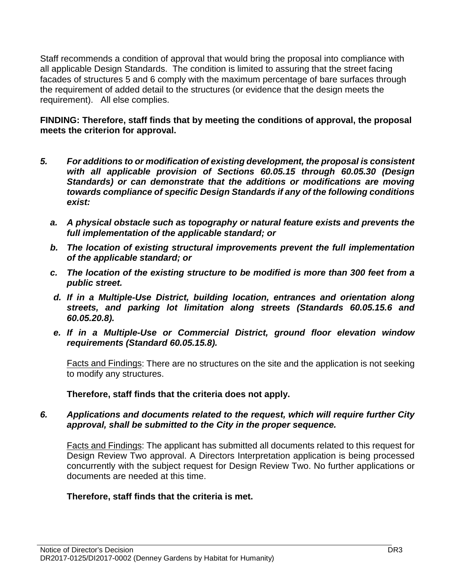Staff recommends a condition of approval that would bring the proposal into compliance with all applicable Design Standards. The condition is limited to assuring that the street facing facades of structures 5 and 6 comply with the maximum percentage of bare surfaces through the requirement of added detail to the structures (or evidence that the design meets the requirement). All else complies.

#### **FINDING: Therefore, staff finds that by meeting the conditions of approval, the proposal meets the criterion for approval.**

- *5. For additions to or modification of existing development, the proposal is consistent with all applicable provision of Sections 60.05.15 through 60.05.30 (Design Standards) or can demonstrate that the additions or modifications are moving towards compliance of specific Design Standards if any of the following conditions exist:*
	- *a. A physical obstacle such as topography or natural feature exists and prevents the full implementation of the applicable standard; or*
	- *b. The location of existing structural improvements prevent the full implementation of the applicable standard; or*
	- *c. The location of the existing structure to be modified is more than 300 feet from a public street.*
	- *d. If in a Multiple-Use District, building location, entrances and orientation along streets, and parking lot limitation along streets (Standards 60.05.15.6 and 60.05.20.8).*
	- *e. If in a Multiple-Use or Commercial District, ground floor elevation window requirements (Standard 60.05.15.8).*

Facts and Findings: There are no structures on the site and the application is not seeking to modify any structures.

**Therefore, staff finds that the criteria does not apply.**

#### *6. Applications and documents related to the request, which will require further City approval, shall be submitted to the City in the proper sequence.*

Facts and Findings: The applicant has submitted all documents related to this request for Design Review Two approval. A Directors Interpretation application is being processed concurrently with the subject request for Design Review Two. No further applications or documents are needed at this time.

# **Therefore, staff finds that the criteria is met.**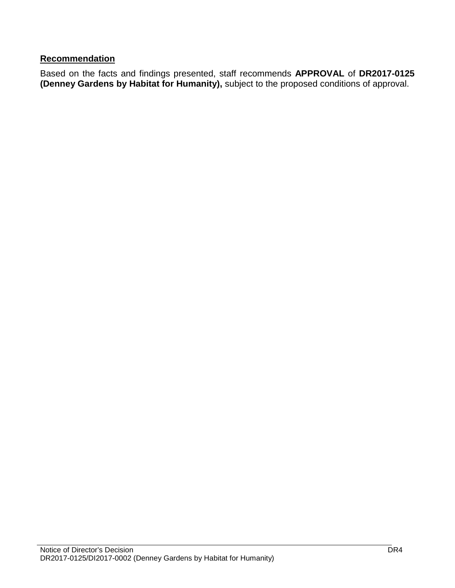# **Recommendation**

Based on the facts and findings presented, staff recommends **APPROVAL** of **DR2017-0125 (Denney Gardens by Habitat for Humanity),** subject to the proposed conditions of approval.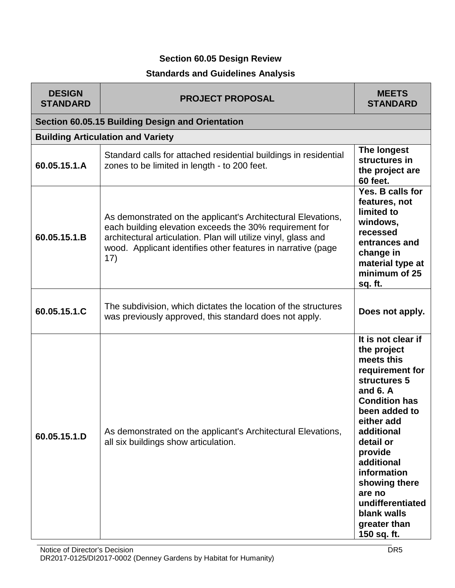# **Section 60.05 Design Review**

# **Standards and Guidelines Analysis**

| <b>DESIGN</b><br><b>STANDARD</b> | <b>PROJECT PROPOSAL</b>                                                                                                                                                                                                                                          | <b>MEETS</b><br><b>STANDARD</b>                                                                                                                                                                                                                                                                                         |
|----------------------------------|------------------------------------------------------------------------------------------------------------------------------------------------------------------------------------------------------------------------------------------------------------------|-------------------------------------------------------------------------------------------------------------------------------------------------------------------------------------------------------------------------------------------------------------------------------------------------------------------------|
|                                  | Section 60.05.15 Building Design and Orientation                                                                                                                                                                                                                 |                                                                                                                                                                                                                                                                                                                         |
|                                  | <b>Building Articulation and Variety</b>                                                                                                                                                                                                                         |                                                                                                                                                                                                                                                                                                                         |
| 60.05.15.1.A                     | Standard calls for attached residential buildings in residential<br>zones to be limited in length - to 200 feet.                                                                                                                                                 | The longest<br>structures in<br>the project are<br><b>60 feet.</b>                                                                                                                                                                                                                                                      |
| 60.05.15.1.B                     | As demonstrated on the applicant's Architectural Elevations,<br>each building elevation exceeds the 30% requirement for<br>architectural articulation. Plan will utilize vinyl, glass and<br>wood. Applicant identifies other features in narrative (page<br>17) | Yes. B calls for<br>features, not<br>limited to<br>windows,<br>recessed<br>entrances and<br>change in<br>material type at<br>minimum of 25<br>sq. ft.                                                                                                                                                                   |
| 60.05.15.1.C                     | The subdivision, which dictates the location of the structures<br>was previously approved, this standard does not apply.                                                                                                                                         | Does not apply.                                                                                                                                                                                                                                                                                                         |
| 60.05.15.1.D                     | As demonstrated on the applicant's Architectural Elevations,<br>all six buildings show articulation.                                                                                                                                                             | It is not clear if<br>the project<br>meets this<br>requirement for<br>structures 5<br>and $6. A$<br><b>Condition has</b><br>been added to<br>either add<br>additional<br>detail or<br>provide<br>additional<br>information<br>showing there<br>are no<br>undifferentiated<br>blank walls<br>greater than<br>150 sq. ft. |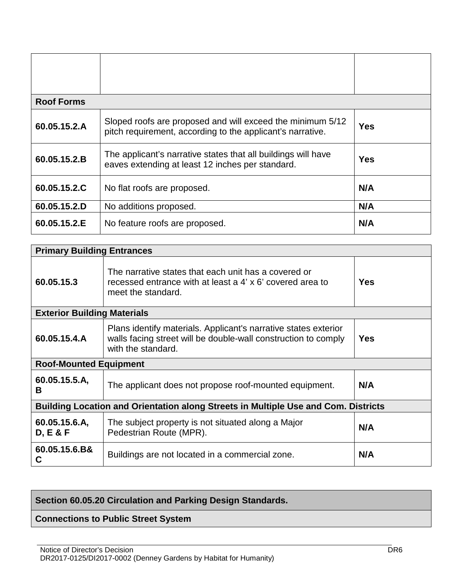| <b>Roof Forms</b> |                                                                                                                          |            |
|-------------------|--------------------------------------------------------------------------------------------------------------------------|------------|
| 60.05.15.2.A      | Sloped roofs are proposed and will exceed the minimum 5/12<br>pitch requirement, according to the applicant's narrative. | <b>Yes</b> |
| 60.05.15.2.B      | The applicant's narrative states that all buildings will have<br>eaves extending at least 12 inches per standard.        | <b>Yes</b> |
| 60.05.15.2.C      | No flat roofs are proposed.                                                                                              | N/A        |
| 60.05.15.2.D      | No additions proposed.                                                                                                   | N/A        |
| 60.05.15.2.E      | No feature roofs are proposed.                                                                                           | N/A        |

| <b>Primary Building Entrances</b>  |                                                                                                                                                         |            |  |
|------------------------------------|---------------------------------------------------------------------------------------------------------------------------------------------------------|------------|--|
| 60.05.15.3                         | The narrative states that each unit has a covered or<br>recessed entrance with at least a 4' x 6' covered area to<br>meet the standard.                 | <b>Yes</b> |  |
| <b>Exterior Building Materials</b> |                                                                                                                                                         |            |  |
| 60.05.15.4.A                       | Plans identify materials. Applicant's narrative states exterior<br>walls facing street will be double-wall construction to comply<br>with the standard. | <b>Yes</b> |  |
| <b>Roof-Mounted Equipment</b>      |                                                                                                                                                         |            |  |
| 60.05.15.5.A,<br>в                 | The applicant does not propose roof-mounted equipment.                                                                                                  | N/A        |  |
|                                    | <b>Building Location and Orientation along Streets in Multiple Use and Com. Districts</b>                                                               |            |  |
| 60.05.15.6.A,<br>D, E & F          | The subject property is not situated along a Major<br>Pedestrian Route (MPR).                                                                           | N/A        |  |
| 60.05.15.6.B&<br>С                 | Buildings are not located in a commercial zone.                                                                                                         | N/A        |  |

# **Section 60.05.20 Circulation and Parking Design Standards.**

# **Connections to Public Street System**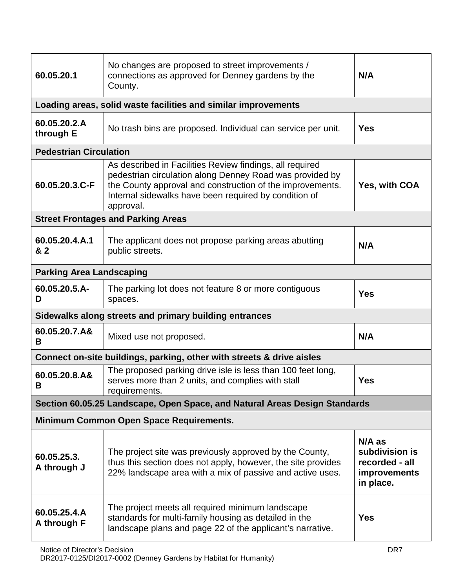| 60.05.20.1                                             | No changes are proposed to street improvements /<br>connections as approved for Denney gardens by the<br>County.                                                                                                                                        | N/A                                                                              |  |
|--------------------------------------------------------|---------------------------------------------------------------------------------------------------------------------------------------------------------------------------------------------------------------------------------------------------------|----------------------------------------------------------------------------------|--|
|                                                        | Loading areas, solid waste facilities and similar improvements                                                                                                                                                                                          |                                                                                  |  |
| 60.05.20.2.A<br>through E                              | No trash bins are proposed. Individual can service per unit.                                                                                                                                                                                            | <b>Yes</b>                                                                       |  |
| <b>Pedestrian Circulation</b>                          |                                                                                                                                                                                                                                                         |                                                                                  |  |
| 60.05.20.3.C-F                                         | As described in Facilities Review findings, all required<br>pedestrian circulation along Denney Road was provided by<br>the County approval and construction of the improvements.<br>Internal sidewalks have been required by condition of<br>approval. | Yes, with COA                                                                    |  |
|                                                        | <b>Street Frontages and Parking Areas</b>                                                                                                                                                                                                               |                                                                                  |  |
| 60.05.20.4.A.1<br>& 2                                  | The applicant does not propose parking areas abutting<br>public streets.                                                                                                                                                                                | N/A                                                                              |  |
| <b>Parking Area Landscaping</b>                        |                                                                                                                                                                                                                                                         |                                                                                  |  |
| 60.05.20.5.A-<br>D                                     | The parking lot does not feature 8 or more contiguous<br>spaces.                                                                                                                                                                                        | <b>Yes</b>                                                                       |  |
| Sidewalks along streets and primary building entrances |                                                                                                                                                                                                                                                         |                                                                                  |  |
| 60.05.20.7.A&<br>B                                     | Mixed use not proposed.                                                                                                                                                                                                                                 | N/A                                                                              |  |
|                                                        | Connect on-site buildings, parking, other with streets & drive aisles                                                                                                                                                                                   |                                                                                  |  |
| 60.05.20.8.A&<br>B.                                    | The proposed parking drive isle is less than 100 feet long,<br>serves more than 2 units, and complies with stall<br>requirements.                                                                                                                       | <b>Yes</b>                                                                       |  |
|                                                        | Section 60.05.25 Landscape, Open Space, and Natural Areas Design Standards                                                                                                                                                                              |                                                                                  |  |
| <b>Minimum Common Open Space Requirements.</b>         |                                                                                                                                                                                                                                                         |                                                                                  |  |
| 60.05.25.3.<br>A through J                             | The project site was previously approved by the County,<br>thus this section does not apply, however, the site provides<br>22% landscape area with a mix of passive and active uses.                                                                    | $N/A$ as<br>subdivision is<br>recorded - all<br><b>improvements</b><br>in place. |  |
| 60.05.25.4.A<br>A through F                            | The project meets all required minimum landscape<br>standards for multi-family housing as detailed in the<br>landscape plans and page 22 of the applicant's narrative.                                                                                  | <b>Yes</b>                                                                       |  |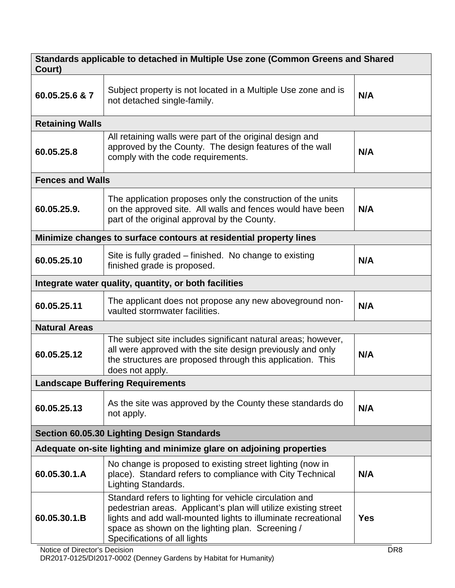| Standards applicable to detached in Multiple Use zone (Common Greens and Shared<br>Court) |                                                                                                                                                                                                                                                                                 |                               |  |
|-------------------------------------------------------------------------------------------|---------------------------------------------------------------------------------------------------------------------------------------------------------------------------------------------------------------------------------------------------------------------------------|-------------------------------|--|
| 60.05.25.6 & 7                                                                            | Subject property is not located in a Multiple Use zone and is<br>not detached single-family.                                                                                                                                                                                    | N/A                           |  |
| <b>Retaining Walls</b>                                                                    |                                                                                                                                                                                                                                                                                 |                               |  |
| 60.05.25.8                                                                                | All retaining walls were part of the original design and<br>approved by the County. The design features of the wall<br>comply with the code requirements.                                                                                                                       | N/A                           |  |
| <b>Fences and Walls</b>                                                                   |                                                                                                                                                                                                                                                                                 |                               |  |
| 60.05.25.9.                                                                               | The application proposes only the construction of the units<br>on the approved site. All walls and fences would have been<br>part of the original approval by the County.                                                                                                       | N/A                           |  |
|                                                                                           | Minimize changes to surface contours at residential property lines                                                                                                                                                                                                              |                               |  |
| 60.05.25.10                                                                               | Site is fully graded – finished. No change to existing<br>finished grade is proposed.                                                                                                                                                                                           | N/A                           |  |
|                                                                                           | Integrate water quality, quantity, or both facilities                                                                                                                                                                                                                           |                               |  |
| 60.05.25.11                                                                               | The applicant does not propose any new aboveground non-<br>vaulted stormwater facilities.                                                                                                                                                                                       | N/A                           |  |
| <b>Natural Areas</b>                                                                      |                                                                                                                                                                                                                                                                                 |                               |  |
| 60.05.25.12                                                                               | The subject site includes significant natural areas; however,<br>all were approved with the site design previously and only<br>the structures are proposed through this application. This<br>does not apply.                                                                    | N/A                           |  |
|                                                                                           | <b>Landscape Buffering Requirements</b>                                                                                                                                                                                                                                         |                               |  |
| 60.05.25.13                                                                               | As the site was approved by the County these standards do<br>not apply.                                                                                                                                                                                                         | N/A                           |  |
| <b>Section 60.05.30 Lighting Design Standards</b>                                         |                                                                                                                                                                                                                                                                                 |                               |  |
| Adequate on-site lighting and minimize glare on adjoining properties                      |                                                                                                                                                                                                                                                                                 |                               |  |
| 60.05.30.1.A                                                                              | No change is proposed to existing street lighting (now in<br>place). Standard refers to compliance with City Technical<br><b>Lighting Standards.</b>                                                                                                                            | N/A                           |  |
| 60.05.30.1.B<br>Notice of Director's Decision                                             | Standard refers to lighting for vehicle circulation and<br>pedestrian areas. Applicant's plan will utilize existing street<br>lights and add wall-mounted lights to illuminate recreational<br>space as shown on the lighting plan. Screening /<br>Specifications of all lights | <b>Yes</b><br>DR <sub>8</sub> |  |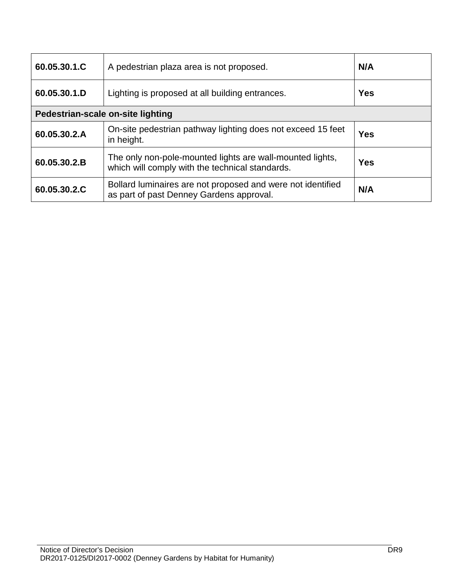| 60.05.30.1.C                      | A pedestrian plaza area is not proposed.                                                                     | N/A        |
|-----------------------------------|--------------------------------------------------------------------------------------------------------------|------------|
| 60.05.30.1.D                      | Lighting is proposed at all building entrances.                                                              | <b>Yes</b> |
| Pedestrian-scale on-site lighting |                                                                                                              |            |
| 60.05.30.2.A                      | On-site pedestrian pathway lighting does not exceed 15 feet<br>in height.                                    | <b>Yes</b> |
| 60.05.30.2.B                      | The only non-pole-mounted lights are wall-mounted lights,<br>which will comply with the technical standards. | <b>Yes</b> |
| 60.05.30.2.C                      | Bollard luminaires are not proposed and were not identified<br>as part of past Denney Gardens approval.      | N/A        |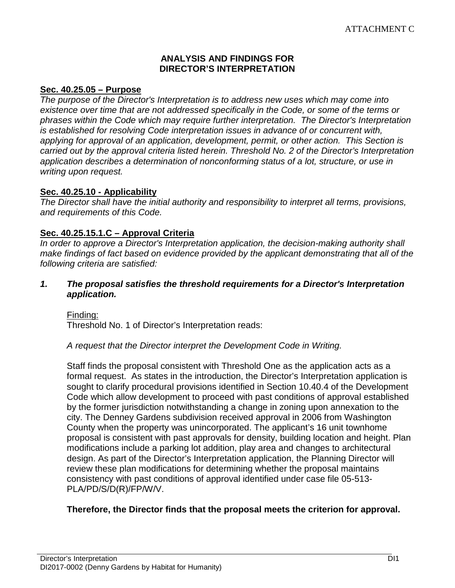#### **ANALYSIS AND FINDINGS FOR DIRECTOR'S INTERPRETATION**

#### **Sec. 40.25.05 – Purpose**

*The purpose of the Director's Interpretation is to address new uses which may come into*  existence over time that are not addressed specifically in the Code, or some of the terms or *phrases within the Code which may require further interpretation. The Director's Interpretation is established for resolving Code interpretation issues in advance of or concurrent with, applying for approval of an application, development, permit, or other action. This Section is carried out by the approval criteria listed herein. Threshold No. 2 of the Director's Interpretation application describes a determination of nonconforming status of a lot, structure, or use in writing upon request.*

#### **Sec. 40.25.10 - Applicability**

*The Director shall have the initial authority and responsibility to interpret all terms, provisions, and requirements of this Code.*

#### **Sec. 40.25.15.1.C – Approval Criteria**

*In order to approve a Director's Interpretation application, the decision-making authority shall make findings of fact based on evidence provided by the applicant demonstrating that all of the following criteria are satisfied:*

#### *1. The proposal satisfies the threshold requirements for a Director's Interpretation application.*

Finding: Threshold No. 1 of Director's Interpretation reads:

#### *A request that the Director interpret the Development Code in Writing.*

Staff finds the proposal consistent with Threshold One as the application acts as a formal request. As states in the introduction, the Director's Interpretation application is sought to clarify procedural provisions identified in Section 10.40.4 of the Development Code which allow development to proceed with past conditions of approval established by the former jurisdiction notwithstanding a change in zoning upon annexation to the city. The Denney Gardens subdivision received approval in 2006 from Washington County when the property was unincorporated. The applicant's 16 unit townhome proposal is consistent with past approvals for density, building location and height. Plan modifications include a parking lot addition, play area and changes to architectural design. As part of the Director's Interpretation application, the Planning Director will review these plan modifications for determining whether the proposal maintains consistency with past conditions of approval identified under case file 05-513- PLA/PD/S/D(R)/FP/W/V.

# **Therefore, the Director finds that the proposal meets the criterion for approval.**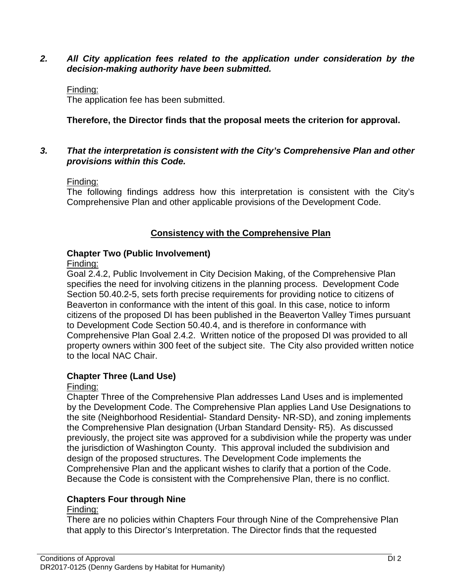#### *2. All City application fees related to the application under consideration by the decision-making authority have been submitted.*

#### Finding:

The application fee has been submitted.

# **Therefore, the Director finds that the proposal meets the criterion for approval.**

#### *3. That the interpretation is consistent with the City's Comprehensive Plan and other provisions within this Code.*

#### Finding:

The following findings address how this interpretation is consistent with the City's Comprehensive Plan and other applicable provisions of the Development Code.

#### **Consistency with the Comprehensive Plan**

# **Chapter Two (Public Involvement)**

#### Finding:

Goal 2.4.2, Public Involvement in City Decision Making, of the Comprehensive Plan specifies the need for involving citizens in the planning process. Development Code Section 50.40.2-5, sets forth precise requirements for providing notice to citizens of Beaverton in conformance with the intent of this goal. In this case, notice to inform citizens of the proposed DI has been published in the Beaverton Valley Times pursuant to Development Code Section 50.40.4, and is therefore in conformance with Comprehensive Plan Goal 2.4.2. Written notice of the proposed DI was provided to all property owners within 300 feet of the subject site. The City also provided written notice to the local NAC Chair.

# **Chapter Three (Land Use)**

# Finding:

Chapter Three of the Comprehensive Plan addresses Land Uses and is implemented by the Development Code. The Comprehensive Plan applies Land Use Designations to the site (Neighborhood Residential- Standard Density- NR-SD), and zoning implements the Comprehensive Plan designation (Urban Standard Density- R5). As discussed previously, the project site was approved for a subdivision while the property was under the jurisdiction of Washington County. This approval included the subdivision and design of the proposed structures. The Development Code implements the Comprehensive Plan and the applicant wishes to clarify that a portion of the Code. Because the Code is consistent with the Comprehensive Plan, there is no conflict.

# **Chapters Four through Nine**

# Finding:

There are no policies within Chapters Four through Nine of the Comprehensive Plan that apply to this Director's Interpretation. The Director finds that the requested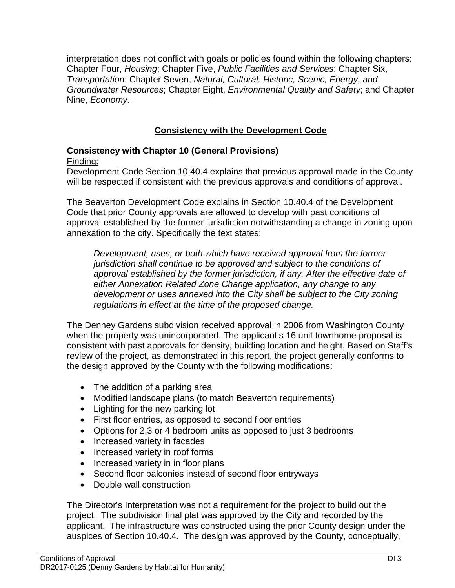interpretation does not conflict with goals or policies found within the following chapters: Chapter Four, *Housing*; Chapter Five, *Public Facilities and Services*; Chapter Six, *Transportation*; Chapter Seven, *Natural, Cultural, Historic, Scenic, Energy, and Groundwater Resources*; Chapter Eight, *Environmental Quality and Safety*; and Chapter Nine, *Economy*.

# **Consistency with the Development Code**

#### **Consistency with Chapter 10 (General Provisions)** Finding:

Development Code Section 10.40.4 explains that previous approval made in the County will be respected if consistent with the previous approvals and conditions of approval.

The Beaverton Development Code explains in Section 10.40.4 of the Development Code that prior County approvals are allowed to develop with past conditions of approval established by the former jurisdiction notwithstanding a change in zoning upon annexation to the city. Specifically the text states:

*Development, uses, or both which have received approval from the former jurisdiction shall continue to be approved and subject to the conditions of approval established by the former jurisdiction, if any. After the effective date of either Annexation Related Zone Change application, any change to any development or uses annexed into the City shall be subject to the City zoning regulations in effect at the time of the proposed change.*

The Denney Gardens subdivision received approval in 2006 from Washington County when the property was unincorporated. The applicant's 16 unit townhome proposal is consistent with past approvals for density, building location and height. Based on Staff's review of the project, as demonstrated in this report, the project generally conforms to the design approved by the County with the following modifications:

- The addition of a parking area
- Modified landscape plans (to match Beaverton requirements)
- Lighting for the new parking lot
- First floor entries, as opposed to second floor entries
- Options for 2,3 or 4 bedroom units as opposed to just 3 bedrooms
- Increased variety in facades
- Increased variety in roof forms
- Increased variety in in floor plans
- Second floor balconies instead of second floor entryways
- Double wall construction

The Director's Interpretation was not a requirement for the project to build out the project. The subdivision final plat was approved by the City and recorded by the applicant. The infrastructure was constructed using the prior County design under the auspices of Section 10.40.4. The design was approved by the County, conceptually,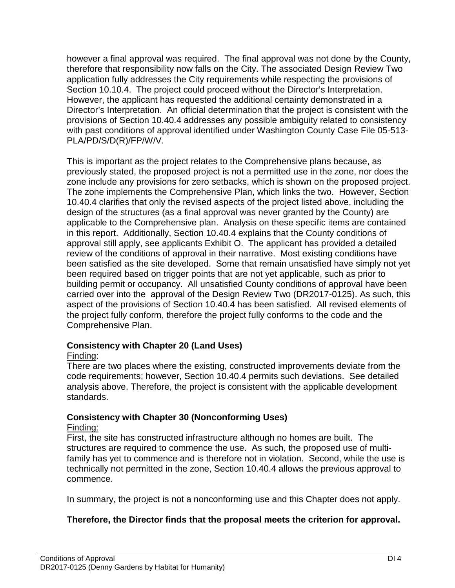however a final approval was required. The final approval was not done by the County, therefore that responsibility now falls on the City. The associated Design Review Two application fully addresses the City requirements while respecting the provisions of Section 10.10.4. The project could proceed without the Director's Interpretation. However, the applicant has requested the additional certainty demonstrated in a Director's Interpretation. An official determination that the project is consistent with the provisions of Section 10.40.4 addresses any possible ambiguity related to consistency with past conditions of approval identified under Washington County Case File 05-513- PLA/PD/S/D(R)/FP/W/V.

This is important as the project relates to the Comprehensive plans because, as previously stated, the proposed project is not a permitted use in the zone, nor does the zone include any provisions for zero setbacks, which is shown on the proposed project. The zone implements the Comprehensive Plan, which links the two. However, Section 10.40.4 clarifies that only the revised aspects of the project listed above, including the design of the structures (as a final approval was never granted by the County) are applicable to the Comprehensive plan. Analysis on these specific items are contained in this report. Additionally, Section 10.40.4 explains that the County conditions of approval still apply, see applicants Exhibit O. The applicant has provided a detailed review of the conditions of approval in their narrative. Most existing conditions have been satisfied as the site developed. Some that remain unsatisfied have simply not yet been required based on trigger points that are not yet applicable, such as prior to building permit or occupancy. All unsatisfied County conditions of approval have been carried over into the approval of the Design Review Two (DR2017-0125). As such, this aspect of the provisions of Section 10.40.4 has been satisfied. All revised elements of the project fully conform, therefore the project fully conforms to the code and the Comprehensive Plan.

# **Consistency with Chapter 20 (Land Uses)**

# Finding:

There are two places where the existing, constructed improvements deviate from the code requirements; however, Section 10.40.4 permits such deviations. See detailed analysis above. Therefore, the project is consistent with the applicable development standards.

# **Consistency with Chapter 30 (Nonconforming Uses)**

# Finding:

First, the site has constructed infrastructure although no homes are built. The structures are required to commence the use. As such, the proposed use of multifamily has yet to commence and is therefore not in violation. Second, while the use is technically not permitted in the zone, Section 10.40.4 allows the previous approval to commence.

In summary, the project is not a nonconforming use and this Chapter does not apply.

# **Therefore, the Director finds that the proposal meets the criterion for approval.**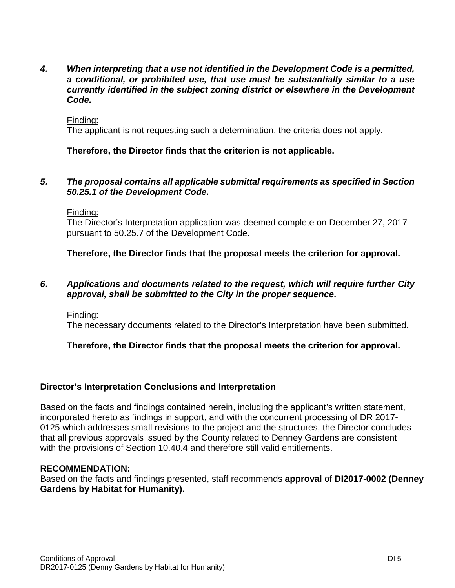*4. When interpreting that a use not identified in the Development Code is a permitted, a conditional, or prohibited use, that use must be substantially similar to a use currently identified in the subject zoning district or elsewhere in the Development Code.*

#### Finding:

The applicant is not requesting such a determination, the criteria does not apply.

#### **Therefore, the Director finds that the criterion is not applicable.**

#### *5. The proposal contains all applicable submittal requirements as specified in Section 50.25.1 of the Development Code.*

#### Finding:

The Director's Interpretation application was deemed complete on December 27, 2017 pursuant to 50.25.7 of the Development Code.

**Therefore, the Director finds that the proposal meets the criterion for approval.**

#### *6. Applications and documents related to the request, which will require further City approval, shall be submitted to the City in the proper sequence***.**

#### Finding:

The necessary documents related to the Director's Interpretation have been submitted.

#### **Therefore, the Director finds that the proposal meets the criterion for approval.**

#### **Director's Interpretation Conclusions and Interpretation**

Based on the facts and findings contained herein, including the applicant's written statement, incorporated hereto as findings in support, and with the concurrent processing of DR 2017- 0125 which addresses small revisions to the project and the structures, the Director concludes that all previous approvals issued by the County related to Denney Gardens are consistent with the provisions of Section 10.40.4 and therefore still valid entitlements.

#### **RECOMMENDATION:**

Based on the facts and findings presented, staff recommends **approval** of **DI2017-0002 (Denney Gardens by Habitat for Humanity).**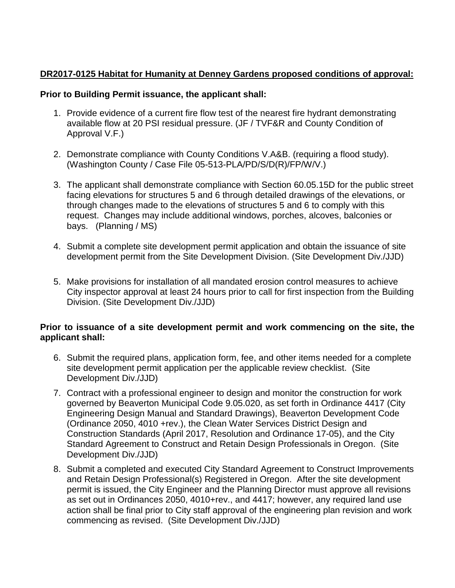# **DR2017-0125 Habitat for Humanity at Denney Gardens proposed conditions of approval:**

# **Prior to Building Permit issuance, the applicant shall:**

- 1. Provide evidence of a current fire flow test of the nearest fire hydrant demonstrating available flow at 20 PSI residual pressure. (JF / TVF&R and County Condition of Approval V.F.)
- 2. Demonstrate compliance with County Conditions V.A&B. (requiring a flood study). (Washington County / Case File 05-513-PLA/PD/S/D(R)/FP/W/V.)
- 3. The applicant shall demonstrate compliance with Section 60.05.15D for the public street facing elevations for structures 5 and 6 through detailed drawings of the elevations, or through changes made to the elevations of structures 5 and 6 to comply with this request. Changes may include additional windows, porches, alcoves, balconies or bays. (Planning / MS)
- 4. Submit a complete site development permit application and obtain the issuance of site development permit from the Site Development Division. (Site Development Div./JJD)
- 5. Make provisions for installation of all mandated erosion control measures to achieve City inspector approval at least 24 hours prior to call for first inspection from the Building Division. (Site Development Div./JJD)

#### **Prior to issuance of a site development permit and work commencing on the site, the applicant shall:**

- 6. Submit the required plans, application form, fee, and other items needed for a complete site development permit application per the applicable review checklist. (Site Development Div./JJD)
- 7. Contract with a professional engineer to design and monitor the construction for work governed by Beaverton Municipal Code 9.05.020, as set forth in Ordinance 4417 (City Engineering Design Manual and Standard Drawings), Beaverton Development Code (Ordinance 2050, 4010 +rev.), the Clean Water Services District Design and Construction Standards (April 2017, Resolution and Ordinance 17-05), and the City Standard Agreement to Construct and Retain Design Professionals in Oregon. (Site Development Div./JJD)
- 8. Submit a completed and executed City Standard Agreement to Construct Improvements and Retain Design Professional(s) Registered in Oregon. After the site development permit is issued, the City Engineer and the Planning Director must approve all revisions as set out in Ordinances 2050, 4010+rev., and 4417; however, any required land use action shall be final prior to City staff approval of the engineering plan revision and work commencing as revised. (Site Development Div./JJD)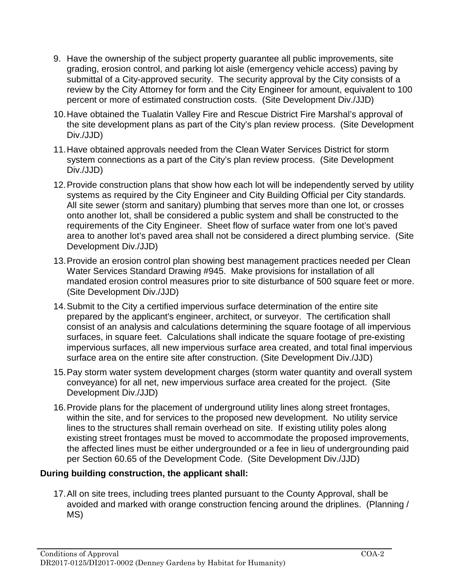- 9. Have the ownership of the subject property guarantee all public improvements, site grading, erosion control, and parking lot aisle (emergency vehicle access) paving by submittal of a City-approved security. The security approval by the City consists of a review by the City Attorney for form and the City Engineer for amount, equivalent to 100 percent or more of estimated construction costs. (Site Development Div./JJD)
- 10.Have obtained the Tualatin Valley Fire and Rescue District Fire Marshal's approval of the site development plans as part of the City's plan review process. (Site Development Div./JJD)
- 11.Have obtained approvals needed from the Clean Water Services District for storm system connections as a part of the City's plan review process. (Site Development Div./JJD)
- 12.Provide construction plans that show how each lot will be independently served by utility systems as required by the City Engineer and City Building Official per City standards. All site sewer (storm and sanitary) plumbing that serves more than one lot, or crosses onto another lot, shall be considered a public system and shall be constructed to the requirements of the City Engineer. Sheet flow of surface water from one lot's paved area to another lot's paved area shall not be considered a direct plumbing service. (Site Development Div./JJD)
- 13.Provide an erosion control plan showing best management practices needed per Clean Water Services Standard Drawing #945. Make provisions for installation of all mandated erosion control measures prior to site disturbance of 500 square feet or more. (Site Development Div./JJD)
- 14.Submit to the City a certified impervious surface determination of the entire site prepared by the applicant's engineer, architect, or surveyor. The certification shall consist of an analysis and calculations determining the square footage of all impervious surfaces, in square feet. Calculations shall indicate the square footage of pre-existing impervious surfaces, all new impervious surface area created, and total final impervious surface area on the entire site after construction. (Site Development Div./JJD)
- 15.Pay storm water system development charges (storm water quantity and overall system conveyance) for all net, new impervious surface area created for the project. (Site Development Div./JJD)
- 16.Provide plans for the placement of underground utility lines along street frontages, within the site, and for services to the proposed new development. No utility service lines to the structures shall remain overhead on site. If existing utility poles along existing street frontages must be moved to accommodate the proposed improvements, the affected lines must be either undergrounded or a fee in lieu of undergrounding paid per Section 60.65 of the Development Code. (Site Development Div./JJD)

# **During building construction, the applicant shall:**

17.All on site trees, including trees planted pursuant to the County Approval, shall be avoided and marked with orange construction fencing around the driplines. (Planning / MS)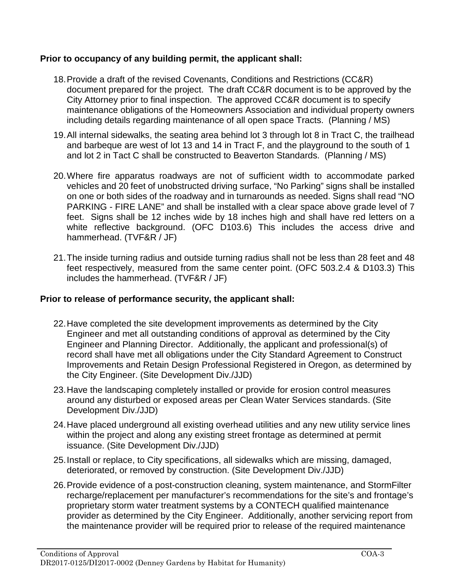# **Prior to occupancy of any building permit, the applicant shall:**

- 18.Provide a draft of the revised Covenants, Conditions and Restrictions (CC&R) document prepared for the project. The draft CC&R document is to be approved by the City Attorney prior to final inspection. The approved CC&R document is to specify maintenance obligations of the Homeowners Association and individual property owners including details regarding maintenance of all open space Tracts. (Planning / MS)
- 19.All internal sidewalks, the seating area behind lot 3 through lot 8 in Tract C, the trailhead and barbeque are west of lot 13 and 14 in Tract F, and the playground to the south of 1 and lot 2 in Tact C shall be constructed to Beaverton Standards. (Planning / MS)
- 20.Where fire apparatus roadways are not of sufficient width to accommodate parked vehicles and 20 feet of unobstructed driving surface, "No Parking" signs shall be installed on one or both sides of the roadway and in turnarounds as needed. Signs shall read "NO PARKING - FIRE LANE" and shall be installed with a clear space above grade level of 7 feet. Signs shall be 12 inches wide by 18 inches high and shall have red letters on a white reflective background. (OFC D103.6) This includes the access drive and hammerhead. (TVF&R / JF)
- 21.The inside turning radius and outside turning radius shall not be less than 28 feet and 48 feet respectively, measured from the same center point. (OFC 503.2.4 & D103.3) This includes the hammerhead. (TVF&R / JF)

# **Prior to release of performance security, the applicant shall:**

- 22.Have completed the site development improvements as determined by the City Engineer and met all outstanding conditions of approval as determined by the City Engineer and Planning Director. Additionally, the applicant and professional(s) of record shall have met all obligations under the City Standard Agreement to Construct Improvements and Retain Design Professional Registered in Oregon, as determined by the City Engineer. (Site Development Div./JJD)
- 23.Have the landscaping completely installed or provide for erosion control measures around any disturbed or exposed areas per Clean Water Services standards. (Site Development Div./JJD)
- 24.Have placed underground all existing overhead utilities and any new utility service lines within the project and along any existing street frontage as determined at permit issuance. (Site Development Div./JJD)
- 25.Install or replace, to City specifications, all sidewalks which are missing, damaged, deteriorated, or removed by construction. (Site Development Div./JJD)
- 26.Provide evidence of a post-construction cleaning, system maintenance, and StormFilter recharge/replacement per manufacturer's recommendations for the site's and frontage's proprietary storm water treatment systems by a CONTECH qualified maintenance provider as determined by the City Engineer. Additionally, another servicing report from the maintenance provider will be required prior to release of the required maintenance